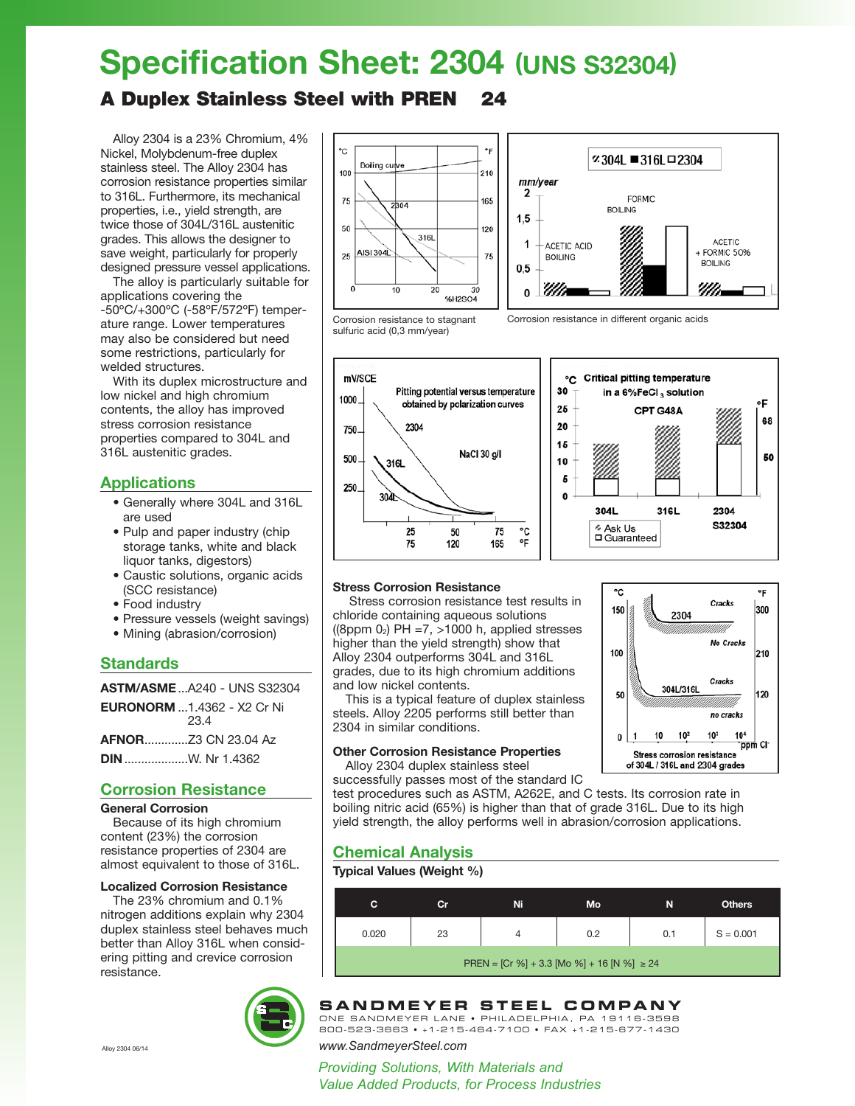# **Specification Sheet: 2304 (UNS S32304)**

## A Duplex Stainless Steel with PREN 24

Alloy 2304 is a 23% Chromium, 4% Nickel, Molybdenum-free duplex stainless steel. The Alloy 2304 has corrosion resistance properties similar to 316L. Furthermore, its mechanical properties, i.e., yield strength, are twice those of 304L/316L austenitic grades. This allows the designer to save weight, particularly for properly designed pressure vessel applications.

The alloy is particularly suitable for applications covering the -50ºC/+300ºC (-58ºF/572ºF) temperature range. Lower temperatures may also be considered but need some restrictions, particularly for welded structures.

With its duplex microstructure and low nickel and high chromium contents, the alloy has improved stress corrosion resistance properties compared to 304L and 316L austenitic grades.

## **Applications**

- Generally where 304L and 316L are used
- Pulp and paper industry (chip storage tanks, white and black liquor tanks, digestors)
- Caustic solutions, organic acids (SCC resistance)
- Food industry
- Pressure vessels (weight savings)
- Mining (abrasion/corrosion)

## **Standards**

| <b>ASTM/ASME</b> A240 - UNS S32304       |
|------------------------------------------|
| <b>EURONORM</b> 1.4362 - X2 Cr Ni<br>234 |
|                                          |
|                                          |

## **Corrosion Resistance**

**General Corrosion**

Because of its high chromium content (23%) the corrosion resistance properties of 2304 are almost equivalent to those of 316L.

#### **Localized Corrosion Resistance**

The 23% chromium and 0.1% nitrogen additions explain why 2304 duplex stainless steel behaves much better than Alloy 316L when considering pitting and crevice corrosion resistance.







Corrosion resistance in different organic acids

Corrosion resistance to stagnant sulfuric acid (0,3 mm/year)



#### **Stress Corrosion Resistance**

Stress corrosion resistance test results in chloride containing aqueous solutions ((8ppm  $0_2$ ) PH =7,  $>1000$  h, applied stresses higher than the yield strength) show that Alloy 2304 outperforms 304L and 316L grades, due to its high chromium additions and low nickel contents.

This is a typical feature of duplex stainless steels. Alloy 2205 performs still better than 2304 in similar conditions.

### **Other Corrosion Resistance Properties**

Alloy 2304 duplex stainless steel



316L

۰F

68

50

2304

S32304

successfully passes most of the standard IC test procedures such as ASTM, A262E, and C tests. Its corrosion rate in boiling nitric acid (65%) is higher than that of grade 316L. Due to its high

yield strength, the alloy performs well in abrasion/corrosion applications.

## **Chemical Analysis**

#### **Typical Values (Weight %)**

| С                                               | Cr | Ni | Mo  | N   | <b>Others</b> |  |  |
|-------------------------------------------------|----|----|-----|-----|---------------|--|--|
| 0.020                                           | 23 |    | 0.2 | 0.1 | $S = 0.001$   |  |  |
| PREN = [Cr %] + 3.3 [Mo %] + 16 [N %] $\geq 24$ |    |    |     |     |               |  |  |



#### **SANDIVIE TER STEEL COIVIPAINT**<br>ONE SANDMEYER LANE • PHILADELPHIA, PA 19116-3598 **SANDMEYER STEEL COMPANY**

800-523-3663 • +1-215-464-7100 • FAX +1-215-677-1430

Alloy 2304 06/14 *www.SandmeyerSteel.com*

*Providing Solutions, With Materials and Steel and Nickel Alloy Plate Products Since 1952 Value Added Products, for Process Industries*